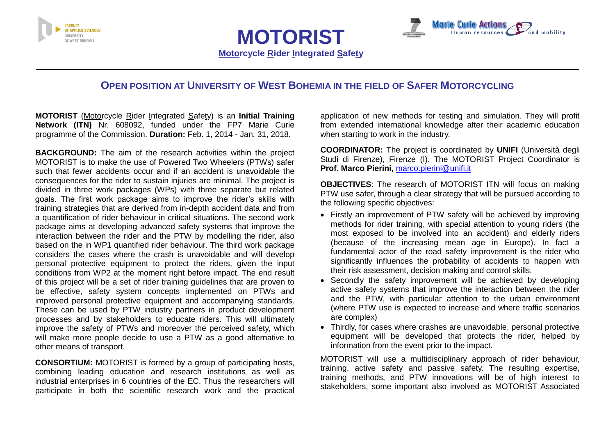



**MOTORIST Motorcycle Rider Integrated Safety**

# **OPEN POSITION AT UNIVERSITY OF WEST BOHEMIA IN THE FIELD OF SAFER MOTORCYCLING**

**MOTORIST** (Motorcycle Rider Integrated Safety) is an **Initial Training Network (ITN)** Nr. 608092, funded under the FP7 Marie Curie programme of the Commission. **Duration:** Feb. 1, 2014 - Jan. 31, 2018.

**BACKGROUND:** The aim of the research activities within the project MOTORIST is to make the use of Powered Two Wheelers (PTWs) safer such that fewer accidents occur and if an accident is unavoidable the consequences for the rider to sustain injuries are minimal. The project is divided in three work packages (WPs) with three separate but related goals. The first work package aims to improve the rider's skills with training strategies that are derived from in-depth accident data and from a quantification of rider behaviour in critical situations. The second work package aims at developing advanced safety systems that improve the interaction between the rider and the PTW by modelling the rider, also based on the in WP1 quantified rider behaviour. The third work package considers the cases where the crash is unavoidable and will develop personal protective equipment to protect the riders, given the input conditions from WP2 at the moment right before impact. The end result of this project will be a set of rider training guidelines that are proven to be effective, safety system concepts implemented on PTWs and improved personal protective equipment and accompanying standards. These can be used by PTW industry partners in product development processes and by stakeholders to educate riders. This will ultimately improve the safety of PTWs and moreover the perceived safety, which will make more people decide to use a PTW as a good alternative to other means of transport.

**CONSORTIUM:** MOTORIST is formed by a group of participating hosts, combining leading education and research institutions as well as industrial enterprises in 6 countries of the EC. Thus the researchers will participate in both the scientific research work and the practical application of new methods for testing and simulation. They will profit from extended international knowledge after their academic education when starting to work in the industry.

**COORDINATOR:** The project is coordinated by **UNIFI** (Università degli Studi di Firenze), Firenze (I). The MOTORIST Project Coordinator is **Prof. Marco Pierini**, [marco.pierini@unifi.it](mailto:marco.pierini@unifi.it)

**OBJECTIVES**: The research of MOTORIST ITN will focus on making PTW use safer, through a clear strategy that will be pursued according to the following specific objectives:

- Firstly an improvement of PTW safety will be achieved by improving methods for rider training, with special attention to young riders (the most exposed to be involved into an accident) and elderly riders (because of the increasing mean age in Europe). In fact a fundamental actor of the road safety improvement is the rider who significantly influences the probability of accidents to happen with their risk assessment, decision making and control skills.
- Secondly the safety improvement will be achieved by developing active safety systems that improve the interaction between the rider and the PTW, with particular attention to the urban environment (where PTW use is expected to increase and where traffic scenarios are complex)
- Thirdly, for cases where crashes are unavoidable, personal protective equipment will be developed that protects the rider, helped by information from the event prior to the impact.

MOTORIST will use a multidisciplinary approach of rider behaviour, training, active safety and passive safety. The resulting expertise, training methods, and PTW innovations will be of high interest to stakeholders, some important also involved as MOTORIST Associated